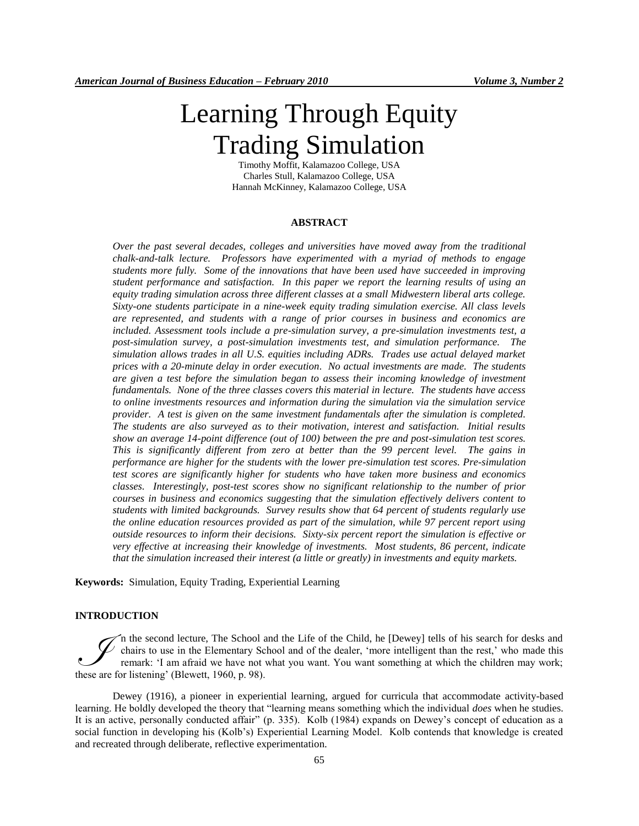# Learning Through Equity Trading Simulation

Timothy Moffit, Kalamazoo College, USA Charles Stull, Kalamazoo College, USA Hannah McKinney, Kalamazoo College, USA

#### **ABSTRACT**

*Over the past several decades, colleges and universities have moved away from the traditional chalk-and-talk lecture. Professors have experimented with a myriad of methods to engage students more fully. Some of the innovations that have been used have succeeded in improving student performance and satisfaction. In this paper we report the learning results of using an equity trading simulation across three different classes at a small Midwestern liberal arts college. Sixty-one students participate in a nine-week equity trading simulation exercise. All class levels are represented, and students with a range of prior courses in business and economics are included. Assessment tools include a pre-simulation survey, a pre-simulation investments test, a post-simulation survey, a post-simulation investments test, and simulation performance. The simulation allows trades in all U.S. equities including ADRs. Trades use actual delayed market prices with a 20-minute delay in order execution. No actual investments are made. The students are given a test before the simulation began to assess their incoming knowledge of investment fundamentals. None of the three classes covers this material in lecture. The students have access to online investments resources and information during the simulation via the simulation service provider. A test is given on the same investment fundamentals after the simulation is completed. The students are also surveyed as to their motivation, interest and satisfaction. Initial results show an average 14-point difference (out of 100) between the pre and post-simulation test scores. This is significantly different from zero at better than the 99 percent level. The gains in performance are higher for the students with the lower pre-simulation test scores. Pre-simulation test scores are significantly higher for students who have taken more business and economics classes. Interestingly, post-test scores show no significant relationship to the number of prior courses in business and economics suggesting that the simulation effectively delivers content to students with limited backgrounds. Survey results show that 64 percent of students regularly use the online education resources provided as part of the simulation, while 97 percent report using outside resources to inform their decisions. Sixty-six percent report the simulation is effective or very effective at increasing their knowledge of investments. Most students, 86 percent, indicate that the simulation increased their interest (a little or greatly) in investments and equity markets.* 

**Keywords:** Simulation, Equity Trading, Experiential Learning

#### **INTRODUCTION**

n the second lecture, The School and the Life of the Child, he [Dewey] tells of his search for desks and chairs to use in the Elementary School and of the dealer, 'more intelligent than the rest,' who made this remark: "I am afraid we have not what you want. You want something at which the children may work; The second lecture, The School and School is chairs to use in the Elementary School and these are for listening' (Blewett, 1960, p. 98).

Dewey (1916), a pioneer in experiential learning, argued for curricula that accommodate activity-based learning. He boldly developed the theory that "learning means something which the individual *does* when he studies. It is an active, personally conducted affair" (p. 335). Kolb (1984) expands on Dewey"s concept of education as a social function in developing his (Kolb"s) Experiential Learning Model. Kolb contends that knowledge is created and recreated through deliberate, reflective experimentation.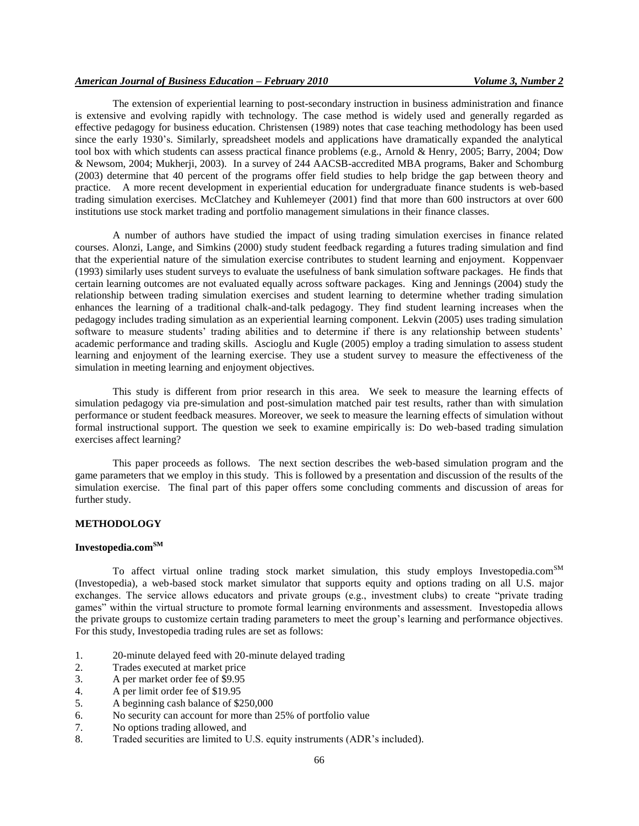The extension of experiential learning to post-secondary instruction in business administration and finance is extensive and evolving rapidly with technology. The case method is widely used and generally regarded as effective pedagogy for business education. Christensen (1989) notes that case teaching methodology has been used since the early 1930"s. Similarly, spreadsheet models and applications have dramatically expanded the analytical tool box with which students can assess practical finance problems (e.g., Arnold & Henry, 2005; Barry, 2004; Dow & Newsom, 2004; Mukherji, 2003). In a survey of 244 AACSB-accredited MBA programs, Baker and Schomburg (2003) determine that 40 percent of the programs offer field studies to help bridge the gap between theory and practice. A more recent development in experiential education for undergraduate finance students is web-based trading simulation exercises. McClatchey and Kuhlemeyer (2001) find that more than 600 instructors at over 600 institutions use stock market trading and portfolio management simulations in their finance classes.

A number of authors have studied the impact of using trading simulation exercises in finance related courses. Alonzi, Lange, and Simkins (2000) study student feedback regarding a futures trading simulation and find that the experiential nature of the simulation exercise contributes to student learning and enjoyment. Koppenvaer (1993) similarly uses student surveys to evaluate the usefulness of bank simulation software packages. He finds that certain learning outcomes are not evaluated equally across software packages. King and Jennings (2004) study the relationship between trading simulation exercises and student learning to determine whether trading simulation enhances the learning of a traditional chalk-and-talk pedagogy. They find student learning increases when the pedagogy includes trading simulation as an experiential learning component. Lekvin (2005) uses trading simulation software to measure students' trading abilities and to determine if there is any relationship between students' academic performance and trading skills. Ascioglu and Kugle (2005) employ a trading simulation to assess student learning and enjoyment of the learning exercise. They use a student survey to measure the effectiveness of the simulation in meeting learning and enjoyment objectives.

This study is different from prior research in this area. We seek to measure the learning effects of simulation pedagogy via pre-simulation and post-simulation matched pair test results, rather than with simulation performance or student feedback measures. Moreover, we seek to measure the learning effects of simulation without formal instructional support. The question we seek to examine empirically is: Do web-based trading simulation exercises affect learning?

This paper proceeds as follows. The next section describes the web-based simulation program and the game parameters that we employ in this study. This is followed by a presentation and discussion of the results of the simulation exercise. The final part of this paper offers some concluding comments and discussion of areas for further study.

## **METHODOLOGY**

# **Investopedia.comSM**

To affect virtual online trading stock market simulation, this study employs Investopedia.com<sup>SM</sup> (Investopedia), a web-based stock market simulator that supports equity and options trading on all U.S. major exchanges. The service allows educators and private groups (e.g., investment clubs) to create "private trading games" within the virtual structure to promote formal learning environments and assessment. Investopedia allows the private groups to customize certain trading parameters to meet the group"s learning and performance objectives. For this study, Investopedia trading rules are set as follows:

- 1. 20-minute delayed feed with 20-minute delayed trading
- 2. Trades executed at market price
- 3. A per market order fee of \$9.95
- 4. A per limit order fee of \$19.95
- 5. A beginning cash balance of \$250,000
- 6. No security can account for more than 25% of portfolio value
- 7. No options trading allowed, and
- 8. Traded securities are limited to U.S. equity instruments (ADR"s included).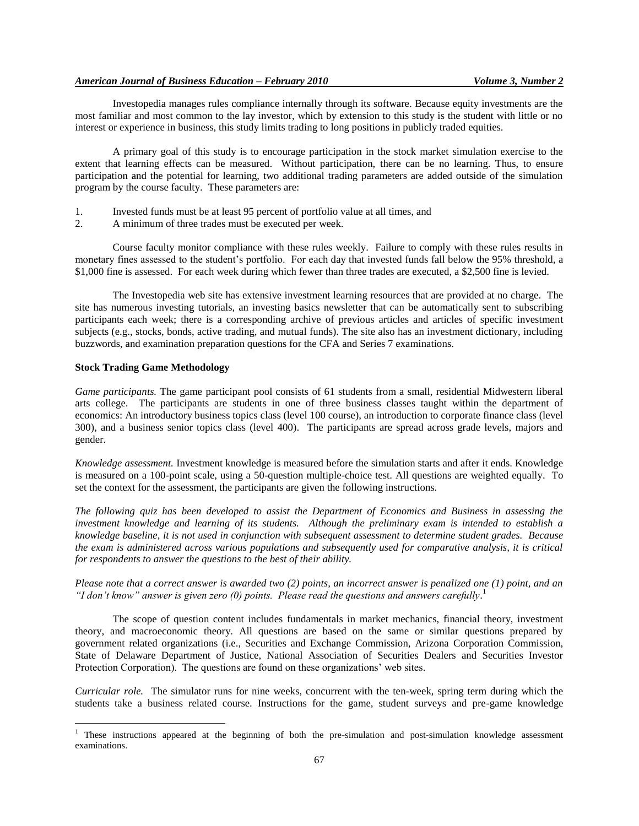## *American Journal of Business Education – February 2010 Volume 3, Number 2*

Investopedia manages rules compliance internally through its software. Because equity investments are the most familiar and most common to the lay investor, which by extension to this study is the student with little or no interest or experience in business, this study limits trading to long positions in publicly traded equities.

A primary goal of this study is to encourage participation in the stock market simulation exercise to the extent that learning effects can be measured. Without participation, there can be no learning. Thus, to ensure participation and the potential for learning, two additional trading parameters are added outside of the simulation program by the course faculty. These parameters are:

- 1. Invested funds must be at least 95 percent of portfolio value at all times, and
- 2. A minimum of three trades must be executed per week.

Course faculty monitor compliance with these rules weekly. Failure to comply with these rules results in monetary fines assessed to the student"s portfolio. For each day that invested funds fall below the 95% threshold, a \$1,000 fine is assessed. For each week during which fewer than three trades are executed, a \$2,500 fine is levied.

The Investopedia web site has extensive investment learning resources that are provided at no charge. The site has numerous investing tutorials, an investing basics newsletter that can be automatically sent to subscribing participants each week; there is a corresponding archive of previous articles and articles of specific investment subjects (e.g., stocks, bonds, active trading, and mutual funds). The site also has an investment dictionary, including buzzwords, and examination preparation questions for the CFA and Series 7 examinations.

# **Stock Trading Game Methodology**

 $\overline{a}$ 

*Game participants.* The game participant pool consists of 61 students from a small, residential Midwestern liberal arts college. The participants are students in one of three business classes taught within the department of economics: An introductory business topics class (level 100 course), an introduction to corporate finance class (level 300), and a business senior topics class (level 400). The participants are spread across grade levels, majors and gender.

*Knowledge assessment.* Investment knowledge is measured before the simulation starts and after it ends. Knowledge is measured on a 100-point scale, using a 50-question multiple-choice test. All questions are weighted equally. To set the context for the assessment, the participants are given the following instructions.

*The following quiz has been developed to assist the Department of Economics and Business in assessing the investment knowledge and learning of its students. Although the preliminary exam is intended to establish a knowledge baseline, it is not used in conjunction with subsequent assessment to determine student grades. Because the exam is administered across various populations and subsequently used for comparative analysis, it is critical for respondents to answer the questions to the best of their ability.*

*Please note that a correct answer is awarded two (2) points, an incorrect answer is penalized one (1) point, and an "I don't know" answer is given zero (0) points. Please read the questions and answers carefully*. 1

The scope of question content includes fundamentals in market mechanics, financial theory, investment theory, and macroeconomic theory. All questions are based on the same or similar questions prepared by government related organizations (i.e., Securities and Exchange Commission, Arizona Corporation Commission, State of Delaware Department of Justice, National Association of Securities Dealers and Securities Investor Protection Corporation). The questions are found on these organizations' web sites.

*Curricular role.* The simulator runs for nine weeks, concurrent with the ten-week, spring term during which the students take a business related course. Instructions for the game, student surveys and pre-game knowledge

 $1$  These instructions appeared at the beginning of both the pre-simulation and post-simulation knowledge assessment examinations.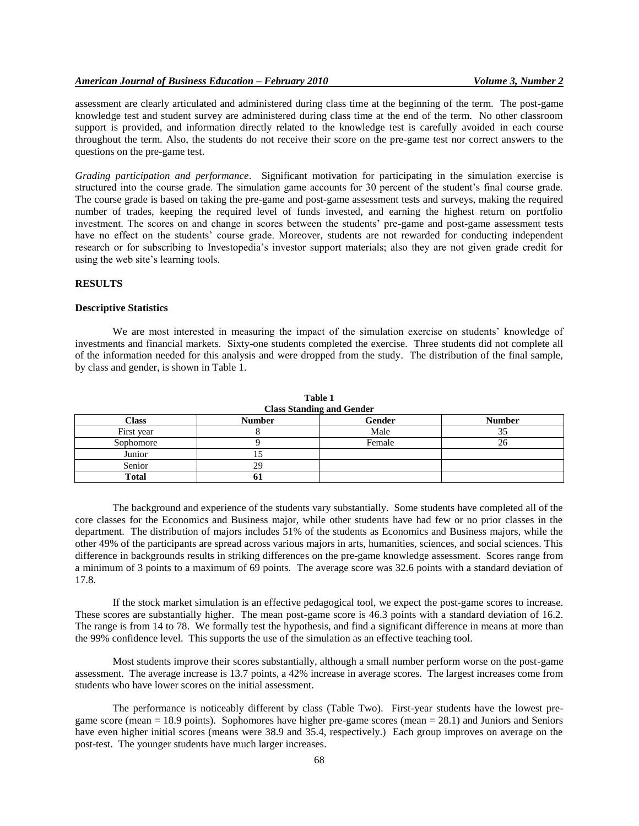#### *American Journal of Business Education – February 2010 Volume 3, Number 2*

assessment are clearly articulated and administered during class time at the beginning of the term. The post-game knowledge test and student survey are administered during class time at the end of the term. No other classroom support is provided, and information directly related to the knowledge test is carefully avoided in each course throughout the term. Also, the students do not receive their score on the pre-game test nor correct answers to the questions on the pre-game test.

*Grading participation and performance*. Significant motivation for participating in the simulation exercise is structured into the course grade. The simulation game accounts for 30 percent of the student"s final course grade. The course grade is based on taking the pre-game and post-game assessment tests and surveys, making the required number of trades, keeping the required level of funds invested, and earning the highest return on portfolio investment. The scores on and change in scores between the students" pre-game and post-game assessment tests have no effect on the students' course grade. Moreover, students are not rewarded for conducting independent research or for subscribing to Investopedia"s investor support materials; also they are not given grade credit for using the web site"s learning tools.

#### **RESULTS**

#### **Descriptive Statistics**

We are most interested in measuring the impact of the simulation exercise on students' knowledge of investments and financial markets. Sixty-one students completed the exercise. Three students did not complete all of the information needed for this analysis and were dropped from the study. The distribution of the final sample, by class and gender, is shown in Table 1.

| <b>Class Standing and Gender</b> |               |        |               |  |
|----------------------------------|---------------|--------|---------------|--|
| Class                            | <b>Number</b> | Gender | <b>Number</b> |  |
| First year                       |               | Male   | っこ            |  |
| Sophomore                        |               | Female |               |  |
| Junior                           |               |        |               |  |
| Senior                           | 29            |        |               |  |
| <b>Total</b>                     | n i           |        |               |  |

**Table 1**

The background and experience of the students vary substantially. Some students have completed all of the core classes for the Economics and Business major, while other students have had few or no prior classes in the department. The distribution of majors includes 51% of the students as Economics and Business majors, while the other 49% of the participants are spread across various majors in arts, humanities, sciences, and social sciences. This difference in backgrounds results in striking differences on the pre-game knowledge assessment. Scores range from a minimum of 3 points to a maximum of 69 points. The average score was 32.6 points with a standard deviation of 17.8.

If the stock market simulation is an effective pedagogical tool, we expect the post-game scores to increase. These scores are substantially higher. The mean post-game score is 46.3 points with a standard deviation of 16.2. The range is from 14 to 78. We formally test the hypothesis, and find a significant difference in means at more than the 99% confidence level. This supports the use of the simulation as an effective teaching tool.

Most students improve their scores substantially, although a small number perform worse on the post-game assessment. The average increase is 13.7 points, a 42% increase in average scores. The largest increases come from students who have lower scores on the initial assessment.

The performance is noticeably different by class (Table Two). First-year students have the lowest pregame score (mean = 18.9 points). Sophomores have higher pre-game scores (mean = 28.1) and Juniors and Seniors have even higher initial scores (means were 38.9 and 35.4, respectively.) Each group improves on average on the post-test. The younger students have much larger increases.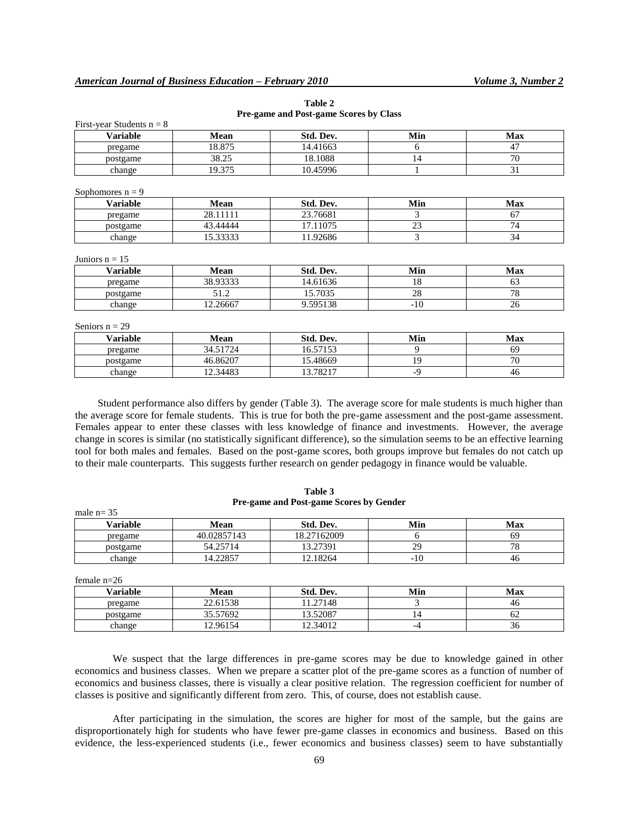| <b>Variable</b>                       | Mean        | Std. Dev. | Min   | <b>Max</b> |
|---------------------------------------|-------------|-----------|-------|------------|
| pregame                               | 18.875      | 14.41663  | 6     | 47         |
| postgame                              | 38.25       | 18.1088   | 14    | 70         |
| change                                | 19.375      | 10.45996  | 1     | 31         |
|                                       |             |           |       |            |
| Sophomores $n = 9$<br><b>Variable</b> | Mean        | Std. Dev. | Min   | <b>Max</b> |
| pregame                               | 28.11111    | 23.76681  | 3     | 67         |
| postgame                              | 43.44444    | 17.11075  | 23    | 74         |
| change                                | 15.33333    | 11.92686  | 3     | 34         |
| Juniors $n = 15$                      |             |           |       |            |
| <b>Variable</b>                       | <b>Mean</b> | Std. Dev. | Min   | <b>Max</b> |
| pregame                               | 38.93333    | 14.61636  | 18    | 63         |
| postgame                              | 51.2        | 15.7035   | 28    | 78         |
| change                                | 12.26667    | 9.595138  | $-10$ | 26         |
|                                       |             |           |       |            |
| Seniors $n = 29$                      |             |           |       |            |
| <b>Variable</b>                       | Mean        | Std. Dev. | Min   | <b>Max</b> |
|                                       |             |           |       |            |

**Table 2 Pre-game and Post-game Scores by Class**

| Variable | Mean     | Std. Dev. | Min | Max            |
|----------|----------|-----------|-----|----------------|
| pregame  | 34.51724 | 16.57153  |     | 69             |
| postgame | 46.86207 | 15.48669  | 19  | $\overline{a}$ |
| change   | 12.34483 | 13.78217  | --  | 46             |

Student performance also differs by gender (Table 3). The average score for male students is much higher than the average score for female students. This is true for both the pre-game assessment and the post-game assessment. Females appear to enter these classes with less knowledge of finance and investments. However, the average change in scores is similar (no statistically significant difference), so the simulation seems to be an effective learning tool for both males and females. Based on the post-game scores, both groups improve but females do not catch up to their male counterparts. This suggests further research on gender pedagogy in finance would be valuable.

| male $n = 35$ |             |             |     |     |  |
|---------------|-------------|-------------|-----|-----|--|
| Variable      | Mean        | Std. Dev.   | Min | Max |  |
| pregame       | 40.02857143 | 18.27162009 |     | 69  |  |
| postgame      | 54.25714    | 13.27391    | 29  |     |  |
| change        | 14.22857    | 12.18264    | -10 | 40  |  |

**Table 3 Pre-game and Post-game Scores by Gender**

female n=26

| $\sim$          |          |           |     |     |
|-----------------|----------|-----------|-----|-----|
| <b>Variable</b> | Mean     | Std. Dev. | Min | Max |
| pregame         | 22.61538 | 1.27148   |     | 40  |
| postgame        | 35.57692 | 13.52087  | 14  | ΩZ  |
| change          | 12.96154 | 12.34012  | -4  | 30  |

We suspect that the large differences in pre-game scores may be due to knowledge gained in other economics and business classes. When we prepare a scatter plot of the pre-game scores as a function of number of economics and business classes, there is visually a clear positive relation. The regression coefficient for number of classes is positive and significantly different from zero. This, of course, does not establish cause.

After participating in the simulation, the scores are higher for most of the sample, but the gains are disproportionately high for students who have fewer pre-game classes in economics and business. Based on this evidence, the less-experienced students (i.e., fewer economics and business classes) seem to have substantially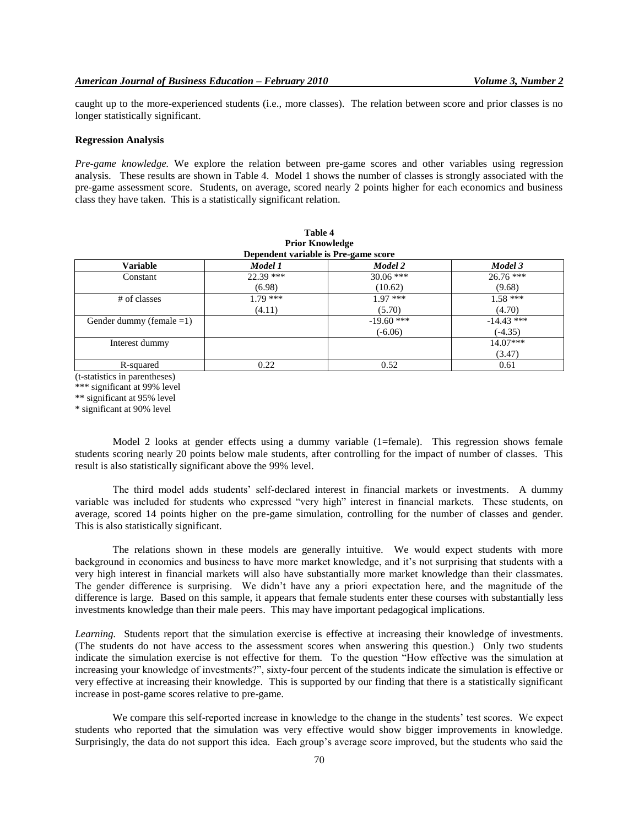caught up to the more-experienced students (i.e., more classes). The relation between score and prior classes is no longer statistically significant.

#### **Regression Analysis**

*Pre-game knowledge.* We explore the relation between pre-game scores and other variables using regression analysis. These results are shown in Table 4. Model 1 shows the number of classes is strongly associated with the pre-game assessment score. Students, on average, scored nearly 2 points higher for each economics and business class they have taken. This is a statistically significant relation.

| <b>Prior Knowledge</b><br>Dependent variable is Pre-game score |             |              |              |  |
|----------------------------------------------------------------|-------------|--------------|--------------|--|
| <b>Variable</b>                                                | Model 1     | Model 2      | Model 3      |  |
| Constant                                                       | $22.39$ *** | $30.06$ ***  | $26.76$ ***  |  |
|                                                                | (6.98)      | (10.62)      | (9.68)       |  |
| # of classes                                                   | $1.79$ ***  | $1.97$ ***   | $1.58***$    |  |
|                                                                | (4.11)      | (5.70)       | (4.70)       |  |
| Gender dummy (female $=1$ )                                    |             | $-19.60$ *** | $-14.43$ *** |  |
|                                                                |             | $(-6.06)$    | $(-4.35)$    |  |
| Interest dummy                                                 |             |              | $14.07***$   |  |
|                                                                |             |              | (3.47)       |  |
| R-squared                                                      | 0.22        | 0.52         | 0.61         |  |

| Table 4                         |
|---------------------------------|
| <b>Prior Knowledge</b>          |
| nondont vorighla is Dra goma se |

(t-statistics in parentheses)

\*\*\* significant at 99% level

\*\* significant at 95% level

\* significant at 90% level

Model 2 looks at gender effects using a dummy variable (1=female). This regression shows female students scoring nearly 20 points below male students, after controlling for the impact of number of classes. This result is also statistically significant above the 99% level.

The third model adds students" self-declared interest in financial markets or investments. A dummy variable was included for students who expressed "very high" interest in financial markets. These students, on average, scored 14 points higher on the pre-game simulation, controlling for the number of classes and gender. This is also statistically significant.

The relations shown in these models are generally intuitive. We would expect students with more background in economics and business to have more market knowledge, and it's not surprising that students with a very high interest in financial markets will also have substantially more market knowledge than their classmates. The gender difference is surprising. We didn"t have any a priori expectation here, and the magnitude of the difference is large. Based on this sample, it appears that female students enter these courses with substantially less investments knowledge than their male peers. This may have important pedagogical implications.

*Learning.* Students report that the simulation exercise is effective at increasing their knowledge of investments. (The students do not have access to the assessment scores when answering this question.) Only two students indicate the simulation exercise is not effective for them. To the question "How effective was the simulation at increasing your knowledge of investments?", sixty-four percent of the students indicate the simulation is effective or very effective at increasing their knowledge. This is supported by our finding that there is a statistically significant increase in post-game scores relative to pre-game.

We compare this self-reported increase in knowledge to the change in the students' test scores. We expect students who reported that the simulation was very effective would show bigger improvements in knowledge. Surprisingly, the data do not support this idea. Each group"s average score improved, but the students who said the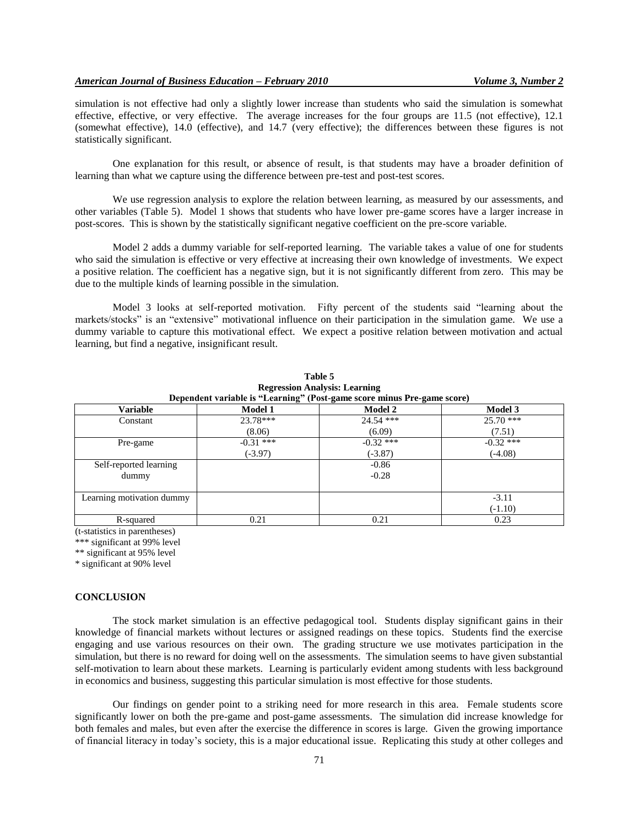simulation is not effective had only a slightly lower increase than students who said the simulation is somewhat effective, effective, or very effective. The average increases for the four groups are 11.5 (not effective), 12.1 (somewhat effective), 14.0 (effective), and 14.7 (very effective); the differences between these figures is not statistically significant.

One explanation for this result, or absence of result, is that students may have a broader definition of learning than what we capture using the difference between pre-test and post-test scores.

We use regression analysis to explore the relation between learning, as measured by our assessments, and other variables (Table 5). Model 1 shows that students who have lower pre-game scores have a larger increase in post-scores. This is shown by the statistically significant negative coefficient on the pre-score variable.

Model 2 adds a dummy variable for self-reported learning. The variable takes a value of one for students who said the simulation is effective or very effective at increasing their own knowledge of investments. We expect a positive relation. The coefficient has a negative sign, but it is not significantly different from zero. This may be due to the multiple kinds of learning possible in the simulation.

Model 3 looks at self-reported motivation. Fifty percent of the students said "learning about the markets/stocks" is an "extensive" motivational influence on their participation in the simulation game. We use a dummy variable to capture this motivational effect. We expect a positive relation between motivation and actual learning, but find a negative, insignificant result.

| Dependent variable is "Learning" (Post-game score minus Pre-game score) |                |                |                |  |
|-------------------------------------------------------------------------|----------------|----------------|----------------|--|
| <b>Variable</b>                                                         | <b>Model 1</b> | <b>Model 2</b> | <b>Model 3</b> |  |
| Constant                                                                | 23.78***       | $24.54$ ***    | $25.70$ ***    |  |
|                                                                         | (8.06)         | (6.09)         | (7.51)         |  |
| Pre-game                                                                | $-0.31$ ***    | $-0.32$ ***    | $-0.32$ ***    |  |
|                                                                         | $(-3.97)$      | $(-3.87)$      | $(-4.08)$      |  |
| Self-reported learning                                                  |                | $-0.86$        |                |  |
| dummy                                                                   |                | $-0.28$        |                |  |
|                                                                         |                |                |                |  |
| Learning motivation dummy                                               |                |                | $-3.11$        |  |
|                                                                         |                |                | $(-1.10)$      |  |
| R-squared                                                               | 0.21           | 0.21           | 0.23           |  |

**Table 5 Regression Analysis: Learning**

(t-statistics in parentheses)

\*\*\* significant at 99% level

\*\* significant at 95% level

\* significant at 90% level

#### **CONCLUSION**

The stock market simulation is an effective pedagogical tool. Students display significant gains in their knowledge of financial markets without lectures or assigned readings on these topics. Students find the exercise engaging and use various resources on their own. The grading structure we use motivates participation in the simulation, but there is no reward for doing well on the assessments. The simulation seems to have given substantial self-motivation to learn about these markets. Learning is particularly evident among students with less background in economics and business, suggesting this particular simulation is most effective for those students.

Our findings on gender point to a striking need for more research in this area. Female students score significantly lower on both the pre-game and post-game assessments. The simulation did increase knowledge for both females and males, but even after the exercise the difference in scores is large. Given the growing importance of financial literacy in today"s society, this is a major educational issue. Replicating this study at other colleges and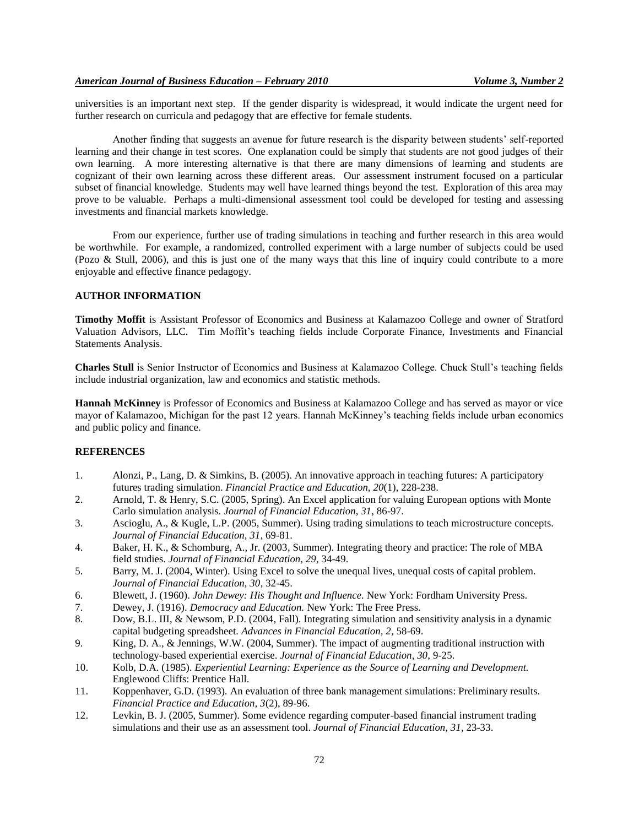universities is an important next step. If the gender disparity is widespread, it would indicate the urgent need for further research on curricula and pedagogy that are effective for female students.

Another finding that suggests an avenue for future research is the disparity between students" self-reported learning and their change in test scores. One explanation could be simply that students are not good judges of their own learning. A more interesting alternative is that there are many dimensions of learning and students are cognizant of their own learning across these different areas. Our assessment instrument focused on a particular subset of financial knowledge. Students may well have learned things beyond the test. Exploration of this area may prove to be valuable. Perhaps a multi-dimensional assessment tool could be developed for testing and assessing investments and financial markets knowledge.

From our experience, further use of trading simulations in teaching and further research in this area would be worthwhile. For example, a randomized, controlled experiment with a large number of subjects could be used (Pozo & Stull, 2006), and this is just one of the many ways that this line of inquiry could contribute to a more enjoyable and effective finance pedagogy.

# **AUTHOR INFORMATION**

**Timothy Moffit** is Assistant Professor of Economics and Business at Kalamazoo College and owner of Stratford Valuation Advisors, LLC. Tim Moffit"s teaching fields include Corporate Finance, Investments and Financial Statements Analysis.

**Charles Stull** is Senior Instructor of Economics and Business at Kalamazoo College. Chuck Stull"s teaching fields include industrial organization, law and economics and statistic methods.

**Hannah McKinney** is Professor of Economics and Business at Kalamazoo College and has served as mayor or vice mayor of Kalamazoo, Michigan for the past 12 years. Hannah McKinney"s teaching fields include urban economics and public policy and finance.

## **REFERENCES**

- 1. Alonzi, P., Lang, D. & Simkins, B. (2005). An innovative approach in teaching futures: A participatory futures trading simulation. *Financial Practice and Education, 20*(1), 228-238.
- 2. Arnold, T. & Henry, S.C. (2005, Spring). An Excel application for valuing European options with Monte Carlo simulation analysis. *Journal of Financial Education, 31*, 86-97.
- 3. Ascioglu, A., & Kugle, L.P. (2005, Summer). Using trading simulations to teach microstructure concepts. *Journal of Financial Education, 31*, 69-81.
- 4. Baker, H. K., & Schomburg, A., Jr. (2003, Summer). Integrating theory and practice: The role of MBA field studies. *Journal of Financial Education, 29*, 34-49.
- 5. Barry, M. J. (2004, Winter). Using Excel to solve the unequal lives, unequal costs of capital problem. *Journal of Financial Education, 30*, 32-45.
- 6. Blewett, J. (1960). *John Dewey: His Thought and Influence.* New York: Fordham University Press.
- 7. Dewey, J. (1916). *Democracy and Education.* New York: The Free Press.
- 8. Dow, B.L. III, & Newsom, P.D. (2004, Fall). Integrating simulation and sensitivity analysis in a dynamic capital budgeting spreadsheet. *Advances in Financial Education, 2*, 58-69.
- 9. King, D. A., & Jennings, W.W. (2004, Summer). The impact of augmenting traditional instruction with technology-based experiential exercise. *Journal of Financial Education, 30*, 9-25.
- 10. Kolb, D.A. (1985). *Experiential Learning: Experience as the Source of Learning and Development.* Englewood Cliffs: Prentice Hall.
- 11. Koppenhaver, G.D. (1993). An evaluation of three bank management simulations: Preliminary results. *Financial Practice and Education, 3*(2), 89-96.
- 12. Levkin, B. J. (2005, Summer). Some evidence regarding computer-based financial instrument trading simulations and their use as an assessment tool. *Journal of Financial Education, 31*, 23-33.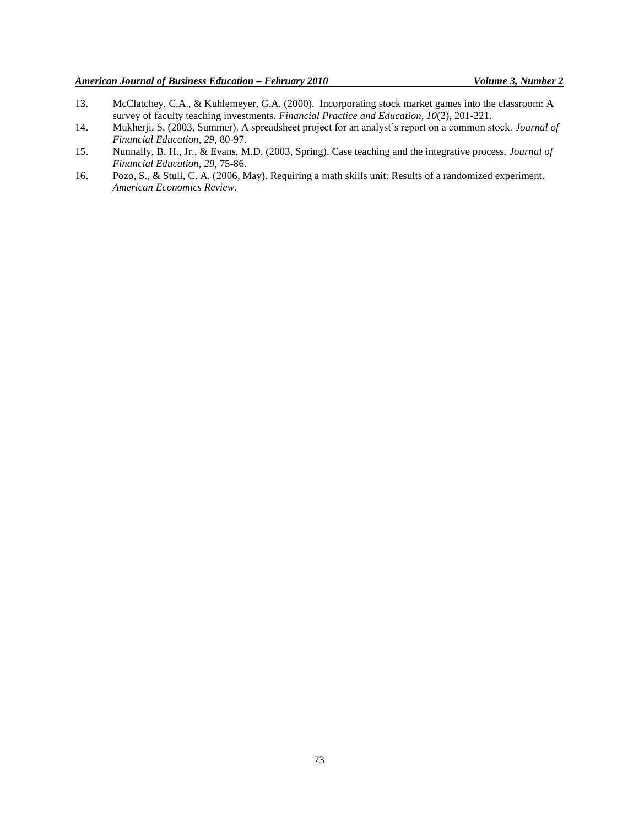- 13. McClatchey, C.A., & Kuhlemeyer, G.A. (2000). Incorporating stock market games into the classroom: A survey of faculty teaching investments. *Financial Practice and Education, 10*(2), 201-221.
- 14. Mukherji, S. (2003, Summer). A spreadsheet project for an analyst"s report on a common stock. *Journal of Financial Education, 29*, 80-97.
- 15. Nunnally, B. H., Jr., & Evans, M.D. (2003, Spring). Case teaching and the integrative process. *Journal of Financial Education, 29*, 75-86.
- 16. Pozo, S., & Stull, C. A. (2006, May). Requiring a math skills unit: Results of a randomized experiment. *American Economics Review.*